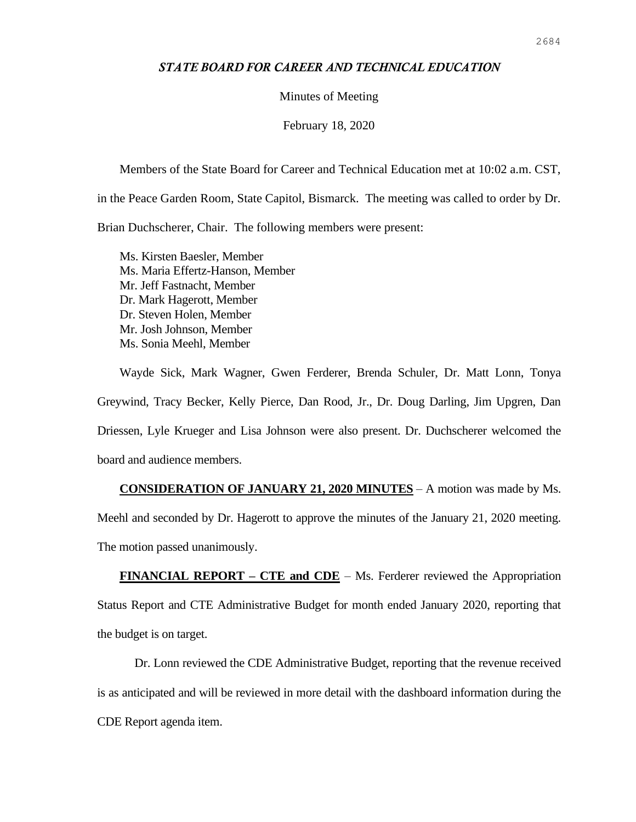### *STATE BOARD FOR CAREER AND TECHNICAL EDUCATION*

#### Minutes of Meeting

February 18, 2020

Members of the State Board for Career and Technical Education met at 10:02 a.m. CST,

in the Peace Garden Room, State Capitol, Bismarck. The meeting was called to order by Dr.

Brian Duchscherer, Chair. The following members were present:

Ms. Kirsten Baesler, Member Ms. Maria Effertz-Hanson, Member Mr. Jeff Fastnacht, Member Dr. Mark Hagerott, Member Dr. Steven Holen, Member Mr. Josh Johnson, Member Ms. Sonia Meehl, Member

Wayde Sick, Mark Wagner, Gwen Ferderer, Brenda Schuler, Dr. Matt Lonn, Tonya Greywind, Tracy Becker, Kelly Pierce, Dan Rood, Jr., Dr. Doug Darling, Jim Upgren, Dan Driessen, Lyle Krueger and Lisa Johnson were also present. Dr. Duchscherer welcomed the board and audience members.

**CONSIDERATION OF JANUARY 21, 2020 MINUTES** – A motion was made by Ms. Meehl and seconded by Dr. Hagerott to approve the minutes of the January 21, 2020 meeting. The motion passed unanimously.

**FINANCIAL REPORT – CTE and CDE** – Ms. Ferderer reviewed the Appropriation Status Report and CTE Administrative Budget for month ended January 2020, reporting that the budget is on target.

Dr. Lonn reviewed the CDE Administrative Budget, reporting that the revenue received is as anticipated and will be reviewed in more detail with the dashboard information during the CDE Report agenda item.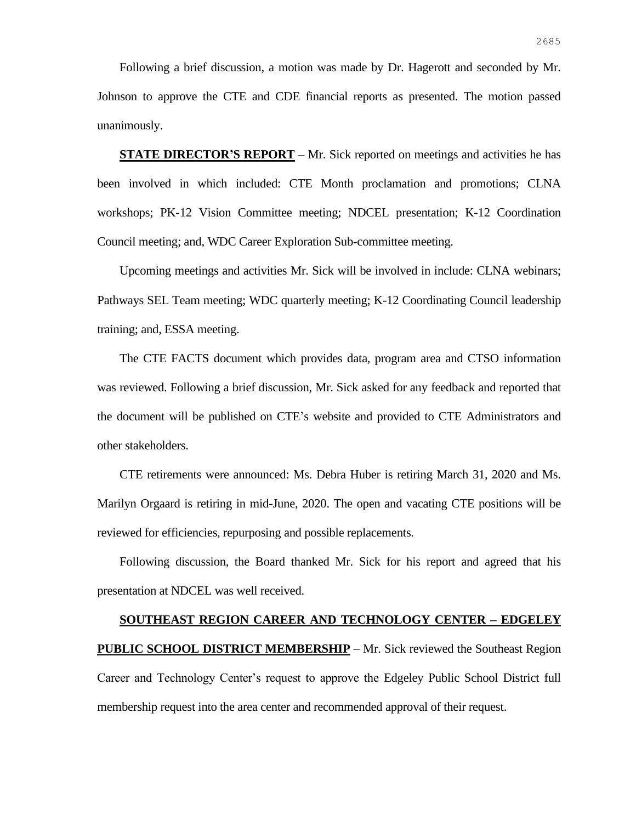Following a brief discussion, a motion was made by Dr. Hagerott and seconded by Mr. Johnson to approve the CTE and CDE financial reports as presented. The motion passed unanimously.

**STATE DIRECTOR'S REPORT** – Mr. Sick reported on meetings and activities he has been involved in which included: CTE Month proclamation and promotions; CLNA workshops; PK-12 Vision Committee meeting; NDCEL presentation; K-12 Coordination Council meeting; and, WDC Career Exploration Sub-committee meeting.

Upcoming meetings and activities Mr. Sick will be involved in include: CLNA webinars; Pathways SEL Team meeting; WDC quarterly meeting; K-12 Coordinating Council leadership training; and, ESSA meeting.

The CTE FACTS document which provides data, program area and CTSO information was reviewed. Following a brief discussion, Mr. Sick asked for any feedback and reported that the document will be published on CTE's website and provided to CTE Administrators and other stakeholders.

CTE retirements were announced: Ms. Debra Huber is retiring March 31, 2020 and Ms. Marilyn Orgaard is retiring in mid-June, 2020. The open and vacating CTE positions will be reviewed for efficiencies, repurposing and possible replacements.

Following discussion, the Board thanked Mr. Sick for his report and agreed that his presentation at NDCEL was well received.

# **SOUTHEAST REGION CAREER AND TECHNOLOGY CENTER – EDGELEY PUBLIC SCHOOL DISTRICT MEMBERSHIP** – Mr. Sick reviewed the Southeast Region Career and Technology Center's request to approve the Edgeley Public School District full membership request into the area center and recommended approval of their request.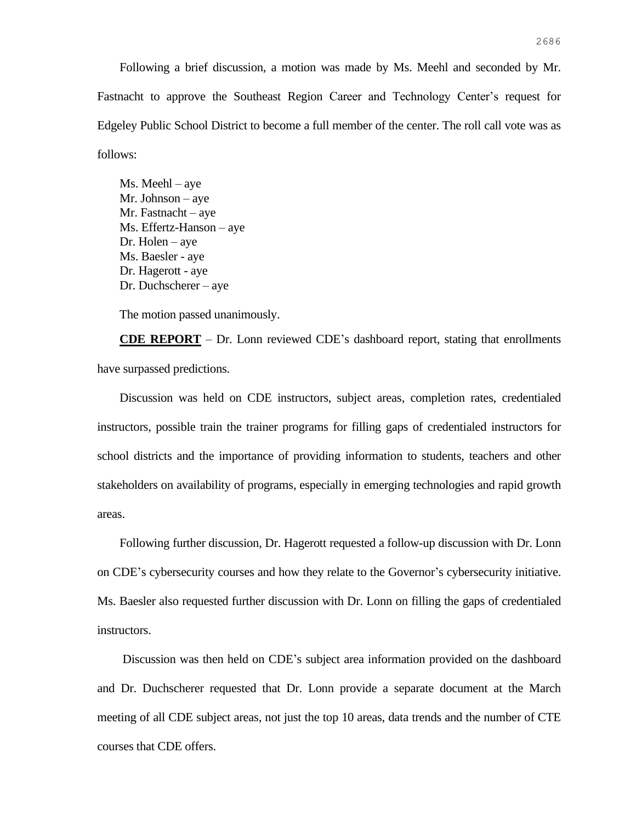Following a brief discussion, a motion was made by Ms. Meehl and seconded by Mr. Fastnacht to approve the Southeast Region Career and Technology Center's request for Edgeley Public School District to become a full member of the center. The roll call vote was as follows:

Ms. Meehl – aye Mr. Johnson – aye Mr. Fastnacht – aye Ms. Effertz-Hanson – aye Dr. Holen – aye Ms. Baesler - aye Dr. Hagerott - aye Dr. Duchscherer – aye

The motion passed unanimously.

**CDE REPORT** – Dr. Lonn reviewed CDE's dashboard report, stating that enrollments have surpassed predictions.

Discussion was held on CDE instructors, subject areas, completion rates, credentialed instructors, possible train the trainer programs for filling gaps of credentialed instructors for school districts and the importance of providing information to students, teachers and other stakeholders on availability of programs, especially in emerging technologies and rapid growth areas.

Following further discussion, Dr. Hagerott requested a follow-up discussion with Dr. Lonn on CDE's cybersecurity courses and how they relate to the Governor's cybersecurity initiative. Ms. Baesler also requested further discussion with Dr. Lonn on filling the gaps of credentialed instructors.

Discussion was then held on CDE's subject area information provided on the dashboard and Dr. Duchscherer requested that Dr. Lonn provide a separate document at the March meeting of all CDE subject areas, not just the top 10 areas, data trends and the number of CTE courses that CDE offers.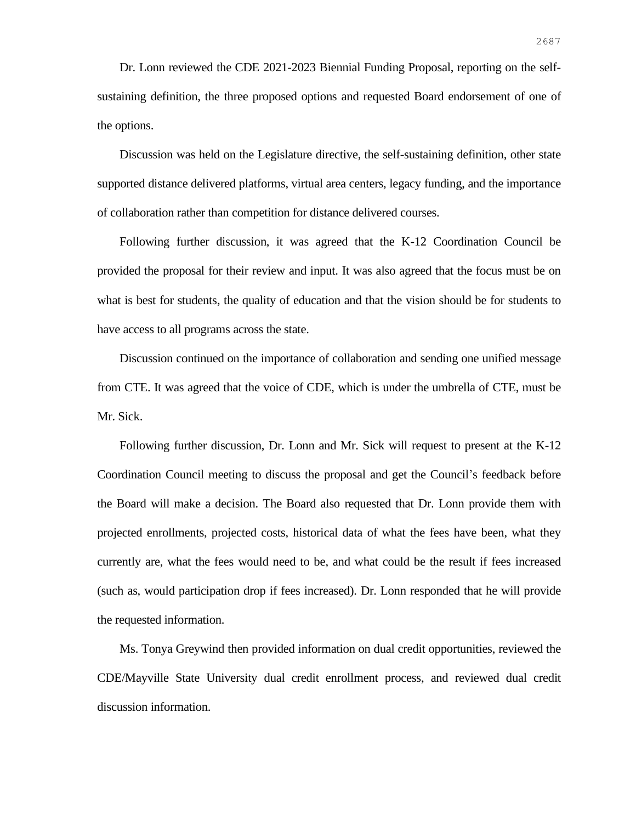Dr. Lonn reviewed the CDE 2021-2023 Biennial Funding Proposal, reporting on the selfsustaining definition, the three proposed options and requested Board endorsement of one of the options.

Discussion was held on the Legislature directive, the self-sustaining definition, other state supported distance delivered platforms, virtual area centers, legacy funding, and the importance of collaboration rather than competition for distance delivered courses.

Following further discussion, it was agreed that the K-12 Coordination Council be provided the proposal for their review and input. It was also agreed that the focus must be on what is best for students, the quality of education and that the vision should be for students to have access to all programs across the state.

Discussion continued on the importance of collaboration and sending one unified message from CTE. It was agreed that the voice of CDE, which is under the umbrella of CTE, must be Mr. Sick.

Following further discussion, Dr. Lonn and Mr. Sick will request to present at the K-12 Coordination Council meeting to discuss the proposal and get the Council's feedback before the Board will make a decision. The Board also requested that Dr. Lonn provide them with projected enrollments, projected costs, historical data of what the fees have been, what they currently are, what the fees would need to be, and what could be the result if fees increased (such as, would participation drop if fees increased). Dr. Lonn responded that he will provide the requested information.

Ms. Tonya Greywind then provided information on dual credit opportunities, reviewed the CDE/Mayville State University dual credit enrollment process, and reviewed dual credit discussion information.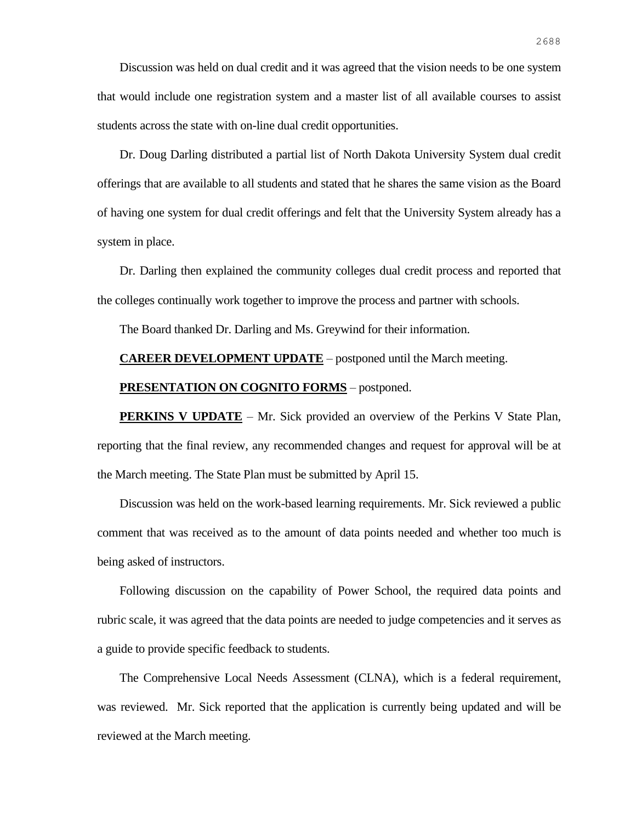Discussion was held on dual credit and it was agreed that the vision needs to be one system that would include one registration system and a master list of all available courses to assist students across the state with on-line dual credit opportunities.

Dr. Doug Darling distributed a partial list of North Dakota University System dual credit offerings that are available to all students and stated that he shares the same vision as the Board of having one system for dual credit offerings and felt that the University System already has a system in place.

Dr. Darling then explained the community colleges dual credit process and reported that the colleges continually work together to improve the process and partner with schools.

The Board thanked Dr. Darling and Ms. Greywind for their information.

#### **CAREER DEVELOPMENT UPDATE** – postponed until the March meeting.

#### **PRESENTATION ON COGNITO FORMS** – postponed.

**PERKINS V UPDATE** – Mr. Sick provided an overview of the Perkins V State Plan, reporting that the final review, any recommended changes and request for approval will be at the March meeting. The State Plan must be submitted by April 15.

Discussion was held on the work-based learning requirements. Mr. Sick reviewed a public comment that was received as to the amount of data points needed and whether too much is being asked of instructors.

Following discussion on the capability of Power School, the required data points and rubric scale, it was agreed that the data points are needed to judge competencies and it serves as a guide to provide specific feedback to students.

The Comprehensive Local Needs Assessment (CLNA), which is a federal requirement, was reviewed. Mr. Sick reported that the application is currently being updated and will be reviewed at the March meeting.